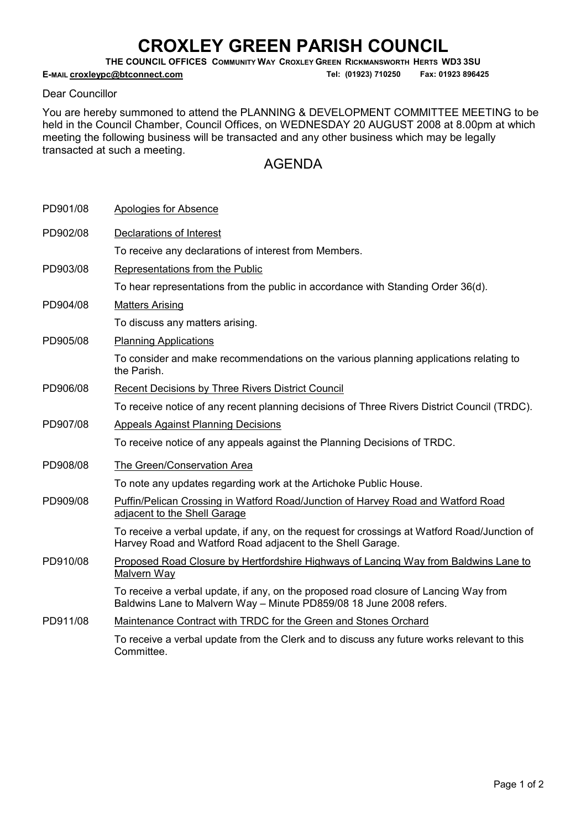## CROXLEY GREEN PARISH COUNCIL

THE COUNCIL OFFICES COMMUNITY WAY CROXLEY GREEN RICKMANSWORTH HERTS WD3 3SU

E-MAIL croxleypc@btconnect.com Tel: (01923) 710250 Fax: 01923 896425

## Dear Councillor

You are hereby summoned to attend the PLANNING & DEVELOPMENT COMMITTEE MEETING to be held in the Council Chamber, Council Offices, on WEDNESDAY 20 AUGUST 2008 at 8.00pm at which meeting the following business will be transacted and any other business which may be legally transacted at such a meeting.

## AGENDA

| PD901/08 | Apologies for Absence                                                                                                                                       |
|----------|-------------------------------------------------------------------------------------------------------------------------------------------------------------|
| PD902/08 | Declarations of Interest                                                                                                                                    |
|          | To receive any declarations of interest from Members.                                                                                                       |
| PD903/08 | Representations from the Public                                                                                                                             |
|          | To hear representations from the public in accordance with Standing Order 36(d).                                                                            |
| PD904/08 | <b>Matters Arising</b>                                                                                                                                      |
|          | To discuss any matters arising.                                                                                                                             |
| PD905/08 | <b>Planning Applications</b>                                                                                                                                |
|          | To consider and make recommendations on the various planning applications relating to<br>the Parish.                                                        |
| PD906/08 | Recent Decisions by Three Rivers District Council                                                                                                           |
|          | To receive notice of any recent planning decisions of Three Rivers District Council (TRDC).                                                                 |
| PD907/08 | <b>Appeals Against Planning Decisions</b>                                                                                                                   |
|          | To receive notice of any appeals against the Planning Decisions of TRDC.                                                                                    |
| PD908/08 | The Green/Conservation Area                                                                                                                                 |
|          | To note any updates regarding work at the Artichoke Public House.                                                                                           |
| PD909/08 | Puffin/Pelican Crossing in Watford Road/Junction of Harvey Road and Watford Road<br>adjacent to the Shell Garage                                            |
|          | To receive a verbal update, if any, on the request for crossings at Watford Road/Junction of<br>Harvey Road and Watford Road adjacent to the Shell Garage.  |
| PD910/08 | Proposed Road Closure by Hertfordshire Highways of Lancing Way from Baldwins Lane to<br>Malvern Way                                                         |
|          | To receive a verbal update, if any, on the proposed road closure of Lancing Way from<br>Baldwins Lane to Malvern Way - Minute PD859/08 18 June 2008 refers. |
| PD911/08 | Maintenance Contract with TRDC for the Green and Stones Orchard                                                                                             |
|          | To receive a verbal update from the Clerk and to discuss any future works relevant to this<br>Committee.                                                    |